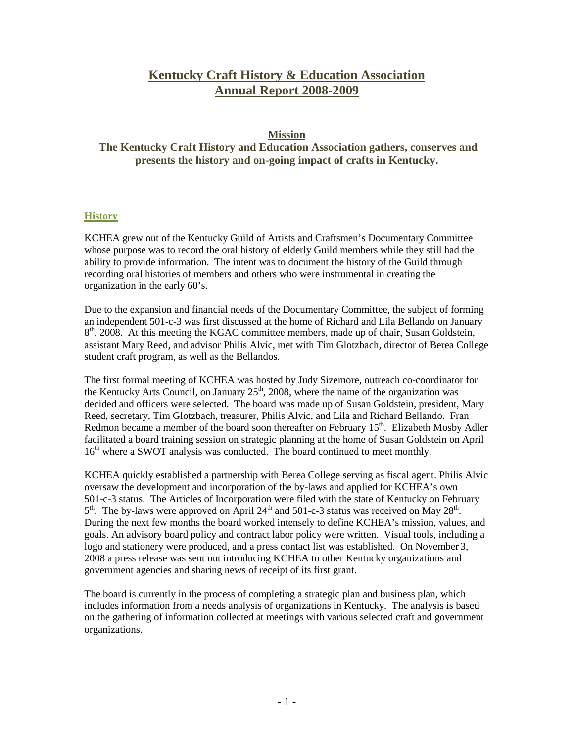# **Kentucky Craft History & Education Association Annual Report 2008-2009**

# **Mission**

**The Kentucky Craft History and Education Association gathers, conserves and presents the history and on-going impact of crafts in Kentucky.**

## **History**

KCHEA grew out of the Kentucky Guild of Artists and Craftsmen's Documentary Committee whose purpose was to record the oral history of elderly Guild members while they still had the ability to provide information. The intent was to document the history of the Guild through recording oral histories of members and others who were instrumental in creating the organization in the early 60's.

Due to the expansion and financial needs of the Documentary Committee, the subject of forming an independent 501-c-3 was first discussed at the home of Richard and Lila Bellando on January  $8<sup>th</sup>$ , 2008. At this meeting the KGAC committee members, made up of chair, Susan Goldstein, assistant Mary Reed, and advisor Philis Alvic, met with Tim Glotzbach, director of Berea College student craft program, as well as the Bellandos.

The first formal meeting of KCHEA was hosted by Judy Sizemore, outreach co-coordinator for the Kentucky Arts Council, on January  $25<sup>th</sup>$ , 2008, where the name of the organization was decided and officers were selected. The board was made up of Susan Goldstein, president, Mary Reed, secretary, Tim Glotzbach, treasurer, Philis Alvic, and Lila and Richard Bellando. Fran Redmon became a member of the board soon thereafter on February  $15<sup>th</sup>$ . Elizabeth Mosby Adler facilitated a board training session on strategic planning at the home of Susan Goldstein on April 16<sup>th</sup> where a SWOT analysis was conducted. The board continued to meet monthly.

KCHEA quickly established a partnership with Berea College serving as fiscal agent. Philis Alvic oversaw the development and incorporation of the by-laws and applied for KCHEA's own 501-c-3 status. The Articles of Incorporation were filed with the state of Kentucky on February  $5<sup>th</sup>$ . The by-laws were approved on April 24<sup>th</sup> and 501-c-3 status was received on May 28<sup>th</sup>. During the next few months the board worked intensely to define KCHEA's mission, values, and goals. An advisory board policy and contract labor policy were written. Visual tools, including a logo and stationery were produced, and a press contact list was established. On November 3, 2008 a press release was sent out introducing KCHEA to other Kentucky organizations and government agencies and sharing news of receipt of its first grant.

The board is currently in the process of completing a strategic plan and business plan, which includes information from a needs analysis of organizations in Kentucky. The analysis is based on the gathering of information collected at meetings with various selected craft and government organizations.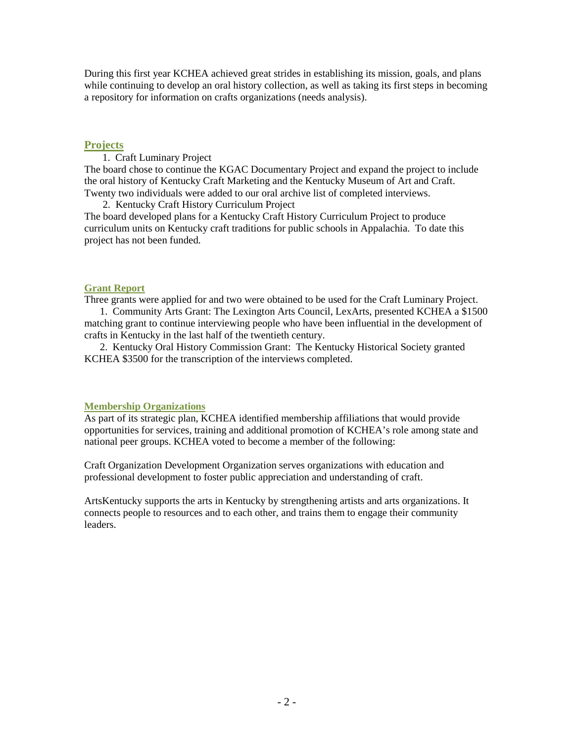During this first year KCHEA achieved great strides in establishing its mission, goals, and plans while continuing to develop an oral history collection, as well as taking its first steps in becoming a repository for information on crafts organizations (needs analysis).

## **Projects**

1. Craft Luminary Project

The board chose to continue the KGAC Documentary Project and expand the project to include the oral history of Kentucky Craft Marketing and the Kentucky Museum of Art and Craft. Twenty two individuals were added to our oral archive list of completed interviews.

2. Kentucky Craft History Curriculum Project

The board developed plans for a Kentucky Craft History Curriculum Project to produce curriculum units on Kentucky craft traditions for public schools in Appalachia. To date this project has not been funded.

# **Grant Report**

Three grants were applied for and two were obtained to be used for the Craft Luminary Project.

 1. Community Arts Grant: The Lexington Arts Council, LexArts, presented KCHEA a \$1500 matching grant to continue interviewing people who have been influential in the development of crafts in Kentucky in the last half of the twentieth century.

 2. Kentucky Oral History Commission Grant: The Kentucky Historical Society granted KCHEA \$3500 for the transcription of the interviews completed.

# **Membership Organizations**

As part of its strategic plan, KCHEA identified membership affiliations that would provide opportunities for services, training and additional promotion of KCHEA's role among state and national peer groups. KCHEA voted to become a member of the following:

Craft Organization Development Organization serves organizations with education and professional development to foster public appreciation and understanding of craft.

ArtsKentucky supports the arts in Kentucky by strengthening artists and arts organizations. It connects people to resources and to each other, and trains them to engage their community leaders.